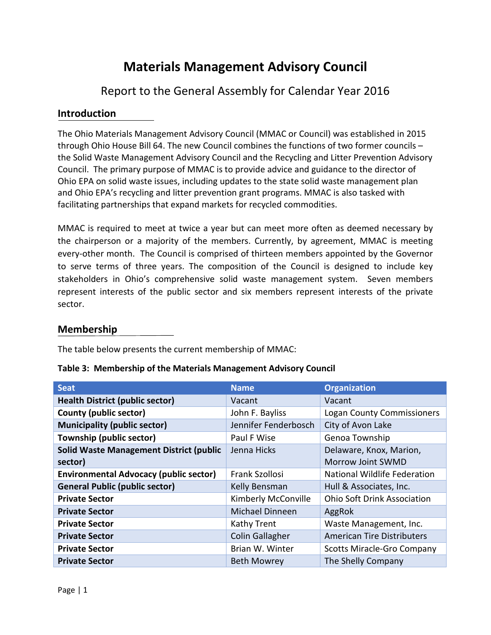# **Materials Management Advisory Council**

# Report to the General Assembly for Calendar Year 2016

#### **Introduction**

The Ohio Materials Management Advisory Council (MMAC or Council) was established in 2015 through Ohio House Bill 64. The new Council combines the functions of two former councils – the Solid Waste Management Advisory Council and the Recycling and Litter Prevention Advisory Council. The primary purpose of MMAC is to provide advice and guidance to the director of Ohio EPA on solid waste issues, including updates to the state solid waste management plan and Ohio EPA's recycling and litter prevention grant programs. MMAC is also tasked with facilitating partnerships that expand markets for recycled commodities.

MMAC is required to meet at twice a year but can meet more often as deemed necessary by the chairperson or a majority of the members. Currently, by agreement, MMAC is meeting every-other month. The Council is comprised of thirteen members appointed by the Governor to serve terms of three years. The composition of the Council is designed to include key stakeholders in Ohio's comprehensive solid waste management system. Seven members represent interests of the public sector and six members represent interests of the private sector.

#### **Membership**

The table below presents the current membership of MMAC:

| <b>Seat</b>                                    | <b>Name</b>            | <b>Organization</b>                |
|------------------------------------------------|------------------------|------------------------------------|
| <b>Health District (public sector)</b>         | Vacant                 | Vacant                             |
| County (public sector)                         | John F. Bayliss        | <b>Logan County Commissioners</b>  |
| <b>Municipality (public sector)</b>            | Jennifer Fenderbosch   | City of Avon Lake                  |
| Township (public sector)                       | Paul F Wise            | Genoa Township                     |
| <b>Solid Waste Management District (public</b> | Jenna Hicks            | Delaware, Knox, Marion,            |
| sector)                                        |                        | Morrow Joint SWMD                  |
| <b>Environmental Advocacy (public sector)</b>  | Frank Szollosi         | National Wildlife Federation       |
| <b>General Public (public sector)</b>          | Kelly Bensman          | Hull & Associates, Inc.            |
| <b>Private Sector</b>                          | Kimberly McConville    | <b>Ohio Soft Drink Association</b> |
| <b>Private Sector</b>                          | Michael Dinneen        | AggRok                             |
| <b>Private Sector</b>                          | <b>Kathy Trent</b>     | Waste Management, Inc.             |
| <b>Private Sector</b>                          | <b>Colin Gallagher</b> | <b>American Tire Distributers</b>  |
| <b>Private Sector</b>                          | Brian W. Winter        | <b>Scotts Miracle-Gro Company</b>  |
| <b>Private Sector</b>                          | <b>Beth Mowrey</b>     | The Shelly Company                 |

|  |  | Table 3: Membership of the Materials Management Advisory Council |
|--|--|------------------------------------------------------------------|
|--|--|------------------------------------------------------------------|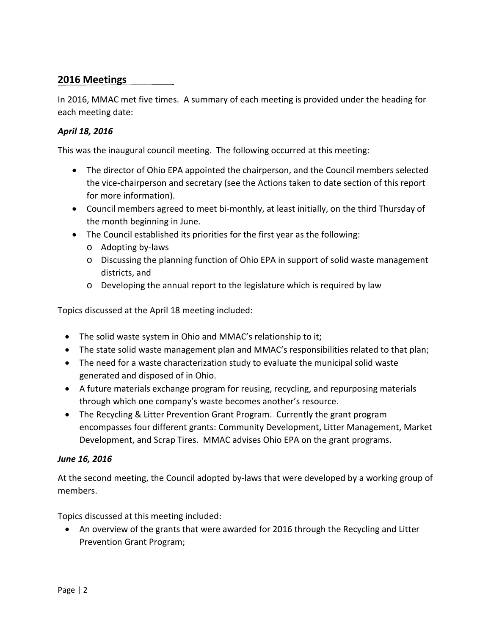## **2016 Meetings**

In 2016, MMAC met five times. A summary of each meeting is provided under the heading for each meeting date:

#### *April 18, 2016*

This was the inaugural council meeting. The following occurred at this meeting:

- The director of Ohio EPA appointed the chairperson, and the Council members selected the vice-chairperson and secretary (see the Actions taken to date section of this report for more information).
- Council members agreed to meet bi-monthly, at least initially, on the third Thursday of the month beginning in June.
- The Council established its priorities for the first year as the following:
	- o Adopting by-laws
	- o Discussing the planning function of Ohio EPA in support of solid waste management districts, and
	- o Developing the annual report to the legislature which is required by law

Topics discussed at the April 18 meeting included:

- The solid waste system in Ohio and MMAC's relationship to it;
- The state solid waste management plan and MMAC's responsibilities related to that plan;
- The need for a waste characterization study to evaluate the municipal solid waste generated and disposed of in Ohio.
- A future materials exchange program for reusing, recycling, and repurposing materials through which one company's waste becomes another's resource.
- The Recycling & Litter Prevention Grant Program. Currently the grant program encompasses four different grants: Community Development, Litter Management, Market Development, and Scrap Tires. MMAC advises Ohio EPA on the grant programs.

#### *June 16, 2016*

At the second meeting, the Council adopted by-laws that were developed by a working group of members.

Topics discussed at this meeting included:

• An overview of the grants that were awarded for 2016 through the Recycling and Litter Prevention Grant Program;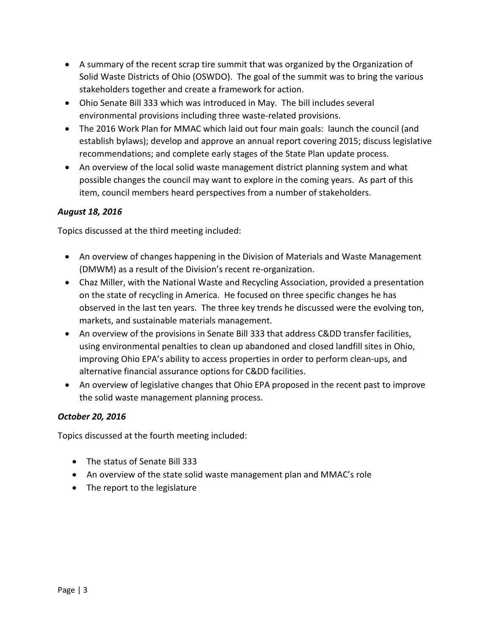- A summary of the recent scrap tire summit that was organized by the Organization of Solid Waste Districts of Ohio (OSWDO). The goal of the summit was to bring the various stakeholders together and create a framework for action.
- Ohio Senate Bill 333 which was introduced in May. The bill includes several environmental provisions including three waste-related provisions.
- The 2016 Work Plan for MMAC which laid out four main goals: launch the council (and establish bylaws); develop and approve an annual report covering 2015; discuss legislative recommendations; and complete early stages of the State Plan update process.
- An overview of the local solid waste management district planning system and what possible changes the council may want to explore in the coming years. As part of this item, council members heard perspectives from a number of stakeholders.

#### *August 18, 2016*

Topics discussed at the third meeting included:

- An overview of changes happening in the Division of Materials and Waste Management (DMWM) as a result of the Division's recent re-organization.
- Chaz Miller, with the National Waste and Recycling Association, provided a presentation on the state of recycling in America. He focused on three specific changes he has observed in the last ten years. The three key trends he discussed were the evolving ton, markets, and sustainable materials management.
- An overview of the provisions in Senate Bill 333 that address C&DD transfer facilities, using environmental penalties to clean up abandoned and closed landfill sites in Ohio, improving Ohio EPA's ability to access properties in order to perform clean-ups, and alternative financial assurance options for C&DD facilities.
- An overview of legislative changes that Ohio EPA proposed in the recent past to improve the solid waste management planning process.

#### *October 20, 2016*

Topics discussed at the fourth meeting included:

- The status of Senate Bill 333
- An overview of the state solid waste management plan and MMAC's role
- The report to the legislature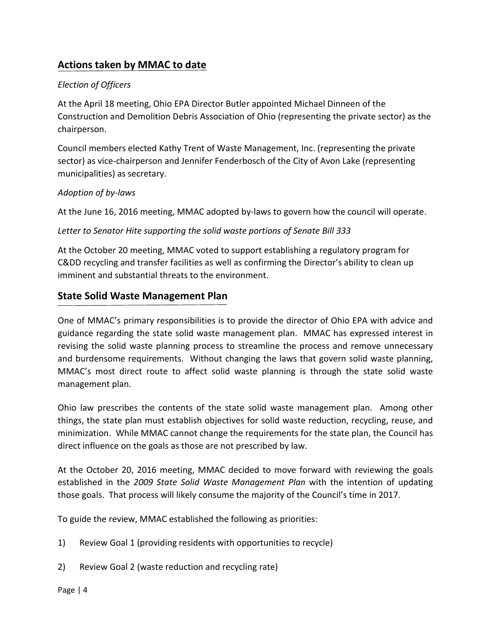# **Actions taken by MMAC to date**

#### *Election of Officers*

At the April 18 meeting, Ohio EPA Director Butler appointed Michael Dinneen of the Construction and Demolition Debris Association of Ohio (representing the private sector) as the chairperson.

Council members elected Kathy Trent of Waste Management, Inc. (representing the private sector) as vice-chairperson and Jennifer Fenderbosch of the City of Avon Lake (representing municipalities) as secretary.

#### *Adoption of by-laws*

At the June 16, 2016 meeting, MMAC adopted by-laws to govern how the council will operate.

#### *Letter to Senator Hite supporting the solid waste portions of Senate Bill 333*

At the October 20 meeting, MMAC voted to support establishing a regulatory program for C&DD recycling and transfer facilities as well as confirming the Director's ability to clean up imminent and substantial threats to the environment.

## **State Solid Waste Management Plan**

One of MMAC's primary responsibilities is to provide the director of Ohio EPA with advice and guidance regarding the state solid waste management plan. MMAC has expressed interest in revising the solid waste planning process to streamline the process and remove unnecessary and burdensome requirements. Without changing the laws that govern solid waste planning, MMAC's most direct route to affect solid waste planning is through the state solid waste management plan.

Ohio law prescribes the contents of the state solid waste management plan. Among other things, the state plan must establish objectives for solid waste reduction, recycling, reuse, and minimization. While MMAC cannot change the requirements for the state plan, the Council has direct influence on the goals as those are not prescribed by law.

At the October 20, 2016 meeting, MMAC decided to move forward with reviewing the goals established in the *2009 State Solid Waste Management Plan* with the intention of updating those goals. That process will likely consume the majority of the Council's time in 2017.

To guide the review, MMAC established the following as priorities:

- 1) Review Goal 1 (providing residents with opportunities to recycle)
- 2) Review Goal 2 (waste reduction and recycling rate)